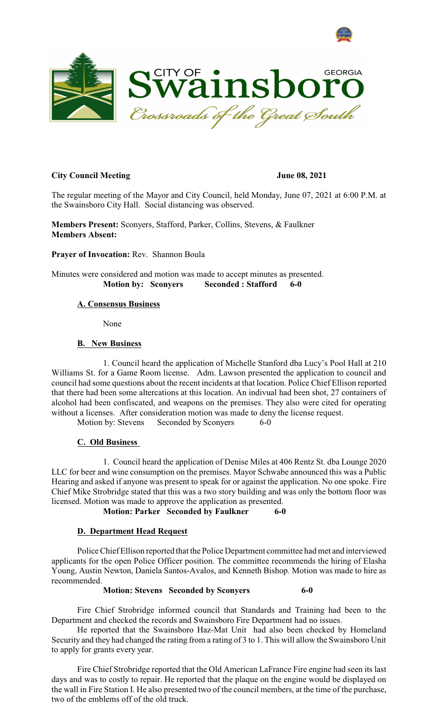



# **City Council Meeting**  June 08, 2021

The regular meeting of the Mayor and City Council, held Monday, June 07, 2021 at 6:00 P.M. at the Swainsboro City Hall. Social distancing was observed.

**Members Present:** Sconyers, Stafford, Parker, Collins, Stevens, & Faulkner **Members Absent:**

**Prayer of Invocation:** Rev. Shannon Boula

Minutes were considered and motion was made to accept minutes as presented. **Motion by: Sconyers Seconded : Stafford 6-0**

# **A. Consensus Business**

None

#### **B. New Business**

1. Council heard the application of Michelle Stanford dba Lucy's Pool Hall at 210 Williams St. for a Game Room license. Adm. Lawson presented the application to council and council had some questions about the recent incidents at that location. Police Chief Ellison reported that there had been some altercations at this location. An indivual had been shot, 27 containers of alcohol had been confiscated, and weapons on the premises. They also were cited for operating without a licenses. After consideration motion was made to deny the license request.

Motion by: Stevens Seconded by Sconyers 6-0

### **C. Old Business**

1. Council heard the application of Denise Miles at 406 Rentz St. dba Lounge 2020 LLC for beer and wine consumption on the premises. Mayor Schwabe announced this was a Public Hearing and asked if anyone was present to speak for or against the application. No one spoke. Fire Chief Mike Strobridge stated that this was a two story building and was only the bottom floor was licensed. Motion was made to approve the application as presented.

**Motion: Parker Seconded by Faulkner 6-0**

### **D. Department Head Request**

Police Chief Ellison reported that the Police Department committee had met and interviewed applicants for the open Police Officer position. The committee recommends the hiring of Elasha Young, Austin Newton, Daniela Santos-Avalos, and Kenneth Bishop. Motion was made to hire as recommended.

### **Motion: Stevens Seconded by Sconyers 6-0**

Fire Chief Strobridge informed council that Standards and Training had been to the Department and checked the records and Swainsboro Fire Department had no issues.

He reported that the Swainsboro Haz-Mat Unit had also been checked by Homeland Security and they had changed the rating from a rating of 3 to 1. This will allow the Swainsboro Unit to apply for grants every year.

Fire Chief Strobridge reported that the Old American LaFrance Fire engine had seen its last days and was to costly to repair. He reported that the plaque on the engine would be displayed on the wall in Fire Station I. He also presented two of the council members, at the time of the purchase, two of the emblems off of the old truck.